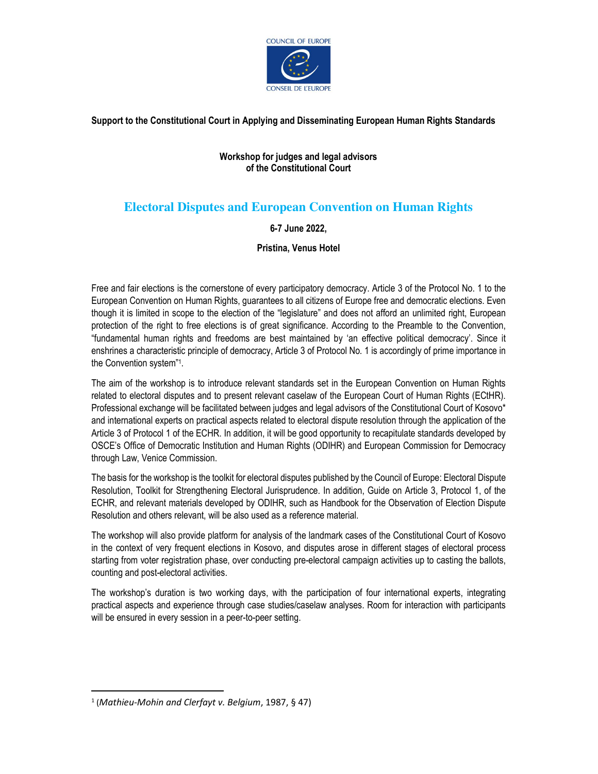

**Support to the Constitutional Court in Applying and Disseminating European Human Rights Standards** 

#### **Workshop for judges and legal advisors of the Constitutional Court**

# **Electoral Disputes and European Convention on Human Rights**

#### **6-7 June 2022,**

**Pristina, Venus Hotel** 

Free and fair elections is the cornerstone of every participatory democracy. Article 3 of the Protocol No. 1 to the European Convention on Human Rights, guarantees to all citizens of Europe free and democratic elections. Even though it is limited in scope to the election of the "legislature" and does not afford an unlimited right, European protection of the right to free elections is of great significance. According to the Preamble to the Convention, "fundamental human rights and freedoms are best maintained by 'an effective political democracy'. Since it enshrines a characteristic principle of democracy, Article 3 of Protocol No. 1 is accordingly of prime importance in the Convention system"<sup>1</sup> .

The aim of the workshop is to introduce relevant standards set in the European Convention on Human Rights related to electoral disputes and to present relevant caselaw of the European Court of Human Rights (ECtHR). Professional exchange will be facilitated between judges and legal advisors of the Constitutional Court of Kosovo\* and international experts on practical aspects related to electoral dispute resolution through the application of the Article 3 of Protocol 1 of the ECHR. In addition, it will be good opportunity to recapitulate standards developed by OSCE's Office of Democratic Institution and Human Rights (ODIHR) and European Commission for Democracy through Law, Venice Commission.

The basis for the workshop is the toolkit for electoral disputes published by the Council of Europe: Electoral Dispute Resolution, Toolkit for Strengthening Electoral Jurisprudence. In addition, Guide on Article 3, Protocol 1, of the ECHR, and relevant materials developed by ODIHR, such as Handbook for the Observation of Election Dispute Resolution and others relevant, will be also used as a reference material.

The workshop will also provide platform for analysis of the landmark cases of the Constitutional Court of Kosovo in the context of very frequent elections in Kosovo, and disputes arose in different stages of electoral process starting from voter registration phase, over conducting pre-electoral campaign activities up to casting the ballots, counting and post-electoral activities.

The workshop's duration is two working days, with the participation of four international experts, integrating practical aspects and experience through case studies/caselaw analyses. Room for interaction with participants will be ensured in every session in a peer-to-peer setting.

<sup>1</sup> (*Mathieu-Mohin and Clerfayt v. Belgium*, 1987, § 47)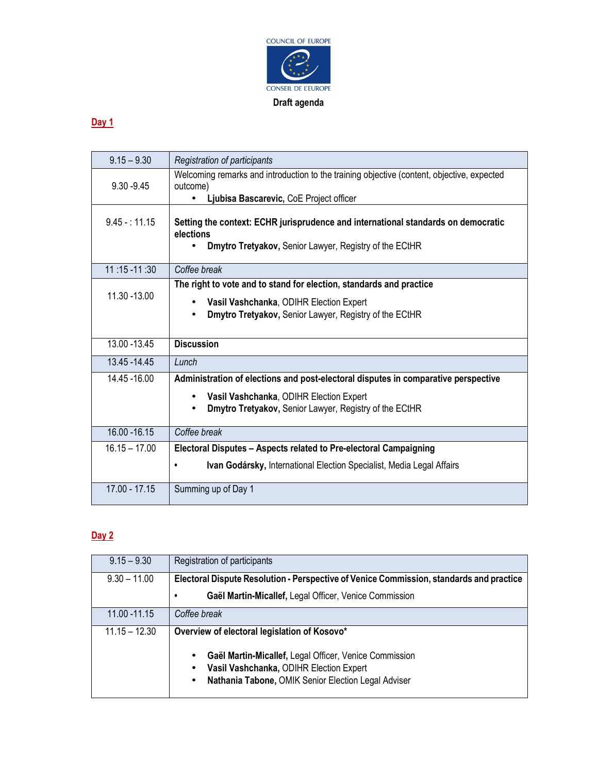

## **Day 1**

| $9.15 - 9.30$   | Registration of participants                                                                           |
|-----------------|--------------------------------------------------------------------------------------------------------|
| $9.30 - 9.45$   | Welcoming remarks and introduction to the training objective (content, objective, expected<br>outcome) |
|                 | Ljubisa Bascarevic, CoE Project officer                                                                |
| $9.45 - 11.15$  | Setting the context: ECHR jurisprudence and international standards on democratic<br>elections         |
|                 | Dmytro Tretyakov, Senior Lawyer, Registry of the ECtHR                                                 |
| $11:15 - 11:30$ | Coffee break                                                                                           |
|                 | The right to vote and to stand for election, standards and practice                                    |
| 11.30 - 13.00   | Vasil Vashchanka, ODIHR Election Expert<br>$\bullet$                                                   |
|                 | Dmytro Tretyakov, Senior Lawyer, Registry of the ECtHR                                                 |
|                 |                                                                                                        |
| 13.00 - 13.45   | <b>Discussion</b>                                                                                      |
| 13.45 - 14.45   | Lunch                                                                                                  |
| 14.45 - 16.00   | Administration of elections and post-electoral disputes in comparative perspective                     |
|                 | Vasil Vashchanka, ODIHR Election Expert<br>$\bullet$                                                   |
|                 | Dmytro Tretyakov, Senior Lawyer, Registry of the ECtHR                                                 |
| 16.00 - 16.15   | Coffee break                                                                                           |
| $16.15 - 17.00$ | Electoral Disputes - Aspects related to Pre-electoral Campaigning                                      |
|                 | Ivan Godársky, International Election Specialist, Media Legal Affairs<br>٠                             |
| $17.00 - 17.15$ | Summing up of Day 1                                                                                    |

## **Day 2**

| $9.15 - 9.30$   | Registration of participants                                                            |
|-----------------|-----------------------------------------------------------------------------------------|
| $9.30 - 11.00$  | Electoral Dispute Resolution - Perspective of Venice Commission, standards and practice |
|                 | Gaël Martin-Micallef, Legal Officer, Venice Commission<br>٠                             |
| 11.00 - 11.15   | Coffee break                                                                            |
| $11.15 - 12.30$ | Overview of electoral legislation of Kosovo*                                            |
|                 | Gaël Martin-Micallef, Legal Officer, Venice Commission<br>٠                             |
|                 | Vasil Vashchanka, ODIHR Election Expert<br>٠                                            |
|                 | Nathania Tabone, OMIK Senior Election Legal Adviser<br>٠                                |